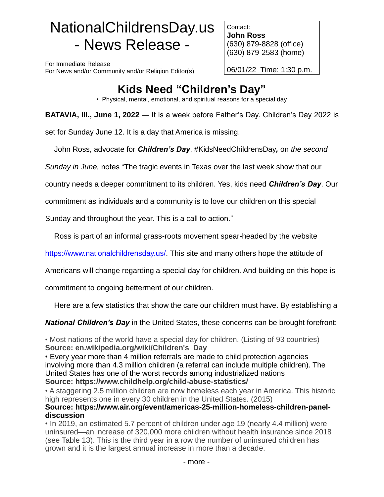# NationalChildrensDay.us - News Release -

For Immediate Release For News and/or Community and/or Religion Editor(s)

Contact: **John Ross** (630) 879-8828 (office) (630) 879-2583 (home)

06/01/22 Time: 1:30 p.m.

# **Kids Need "Children's Day"**

• Physical, mental, emotional, and spiritual reasons for a special day

**BATAVIA, Ill., June 1, 2022** — It is a week before Father's Day. Children's Day 2022 is

set for Sunday June 12. It is a day that America is missing.

John Ross, advocate for *Children's Day*, #KidsNeedChildrensDay*,* on *the second* 

*Sunday in June,* notes "The tragic events in Texas over the last week show that our

country needs a deeper commitment to its children. Yes, kids need *Children's Day*. Our

commitment as individuals and a community is to love our children on this special

Sunday and throughout the year. This is a call to action."

Ross is part of an informal grass-roots movement spear-headed by the website

[https://www.nationalchildrensday.us/.](https://www.nationalchildrensday.us/) This site and many others hope the attitude of

Americans will change regarding a special day for children. And building on this hope is

commitment to ongoing betterment of our children.

Here are a few statistics that show the care our children must have. By establishing a

*National Children's Day* in the United States, these concerns can be brought forefront:

• Most nations of the world have a special day for children. (Listing of 93 countries) **Source: en.wikipedia.org/wiki/Children's\_Day**

• Every year more than 4 million referrals are made to child protection agencies involving more than 4.3 million children (a referral can include multiple children). The United States has one of the worst records among industrialized nations **Source: https://www.childhelp.org/child-abuse-statistics/**

• A staggering 2.5 million children are now homeless each year in America. This historic high represents one in every 30 children in the United States. (2015)

## **Source: https://www.air.org/event/americas-25-million-homeless-children-paneldiscussion**

• In 2019, an estimated 5.7 percent of children under age 19 (nearly 4.4 million) were uninsured—an increase of 320,000 more children without health insurance since 2018 (see Table 13). This is the third year in a row the number of uninsured children has grown and it is the largest annual increase in more than a decade.